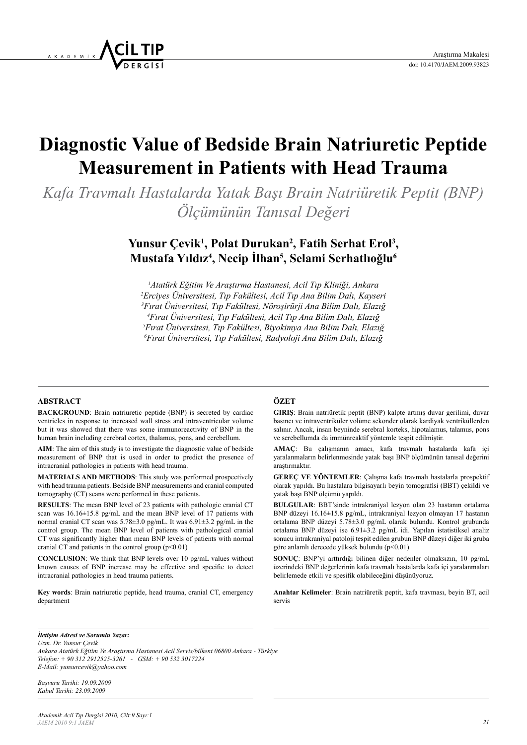# **Diagnostic Value of Bedside Brain Natriuretic Peptide Measurement in Patients with Head Trauma**

*Kafa Travmalı Hastalarda Yatak Başı Brain Natriüretik Peptit (BNP) Ölçümünün Tanısal Değeri*

## Yunsur Çevik<sup>1</sup>, Polat Durukan<sup>2</sup>, Fatih Serhat Erol<sup>3</sup>, **Mustafa Yıldız4 , Necip İlhan5 , Selami Serhatlıoğlu6**

 *Atatürk Eğitim Ve Araştırma Hastanesi, Acil Tıp Kliniği, Ankara Erciyes Üniversitesi, Tıp Fakültesi, Acil Tıp Ana Bilim Dalı, Kayseri Fırat Üniversitesi, Tıp Fakültesi, Nöroşirürji Ana Bilim Dalı, Elazığ Fırat Üniversitesi, Tıp Fakültesi, Acil Tıp Ana Bilim Dalı, Elazığ Fırat Üniversitesi, Tıp Fakültesi, Biyokimya Ana Bilim Dalı, Elazığ Fırat Üniversitesi, Tıp Fakültesi, Radyoloji Ana Bilim Dalı, Elazığ*

#### **ABSTRACT**

**BACKGROUND**: Brain natriuretic peptide (BNP) is secreted by cardiac ventricles in response to increased wall stress and intraventricular volume but it was showed that there was some immunoreactivity of BNP in the human brain including cerebral cortex, thalamus, pons, and cerebellum.

**AIM**: The aim of this study is to investigate the diagnostic value of bedside measurement of BNP that is used in order to predict the presence of intracranial pathologies in patients with head trauma.

**MATERIALS AND METHODS**: This study was performed prospectively with head trauma patients. Bedside BNP measurements and cranial computed tomography (CT) scans were performed in these patients.

**RESULTS**: The mean BNP level of 23 patients with pathologic cranial CT scan was 16.16±15.8 pg/mL and the mean BNP level of 17 patients with normal cranial CT scan was  $5.78\pm3.0$  pg/mL. It was  $6.91\pm3.2$  pg/mL in the control group. The mean BNP level of patients with pathological cranial CT was significantly higher than mean BNP levels of patients with normal cranial CT and patients in the control group  $(p<0.01)$ 

**CONCLUSION**: We think that BNP levels over 10 pg/mL values without known causes of BNP increase may be effective and specific to detect intracranial pathologies in head trauma patients.

**Key words**: Brain natriuretic peptide, head trauma, cranial CT, emergency department

### **ÖZET**

**GIRIŞ**: Brain natriüretik peptit (BNP) kalpte artmış duvar gerilimi, duvar basıncı ve intraventriküler volüme sekonder olarak kardiyak ventriküllerden salınır. Ancak, insan beyninde serebral korteks, hipotalamus, talamus, pons ve serebellumda da immünreaktif yöntemle tespit edilmiştir.

**AMAÇ**: Bu çalışmanın amacı, kafa travmalı hastalarda kafa içi yaralanmaların belirlenmesinde yatak başı BNP ölçümünün tanısal değerini araştırmaktır.

**GEREÇ VE YÖNTEMLER**: Çalışma kafa travmalı hastalarla prospektif olarak yapıldı. Bu hastalara bilgisayarlı beyin tomografisi (BBT) çekildi ve yatak başı BNP ölçümü yapıldı.

**BULGULAR**: BBT'sinde intrakraniyal lezyon olan 23 hastanın ortalama BNP düzeyi 16.16±15.8 pg/mL, intrakraniyal lezyon olmayan 17 hastanın ortalama BNP düzeyi 5.78±3.0 pg/mL olarak bulundu. Kontrol grubunda ortalama BNP düzeyi ise 6.91±3.2 pg/mL idi. Yapılan istatistiksel analiz sonucu intrakraniyal patoloji tespit edilen grubun BNP düzeyi diğer iki gruba göre anlamlı derecede yüksek bulundu (p<0.01)

**SONUÇ**: BNP'yi arttırdığı bilinen diğer nedenler olmaksızın, 10 pg/mL üzerindeki BNP değerlerinin kafa travmalı hastalarda kafa içi yaralanmaları belirlemede etkili ve spesifik olabileceğini düşünüyoruz.

**Anahtar Kelimeler**: Brain natriüretik peptit, kafa travması, beyin BT, acil servis

*İletişim Adresi ve Sorumlu Yazar:* 

*Uzm. Dr. Yunsur Çevik* 

*Ankara Atatürk Eğitim Ve Araştırma Hastanesi Acil Servis/bilkent 06800 Ankara - Türkiye Telefon: + 90 312 2912525-3261 - GSM: + 90 532 3017224 E-Mail: yunsurcevik@yahoo.com*

*Başvuru Tarihi: 19.09.2009 Kabul Tarihi: 23.09.2009*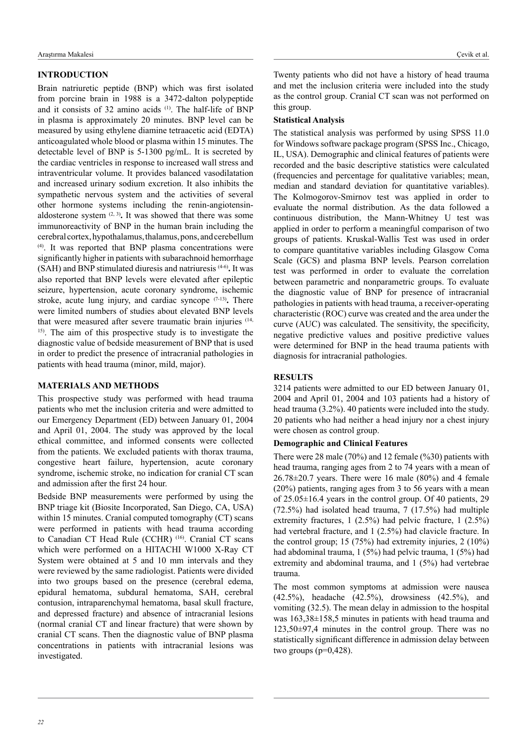#### **INTRODUCTION**

Brain natriuretic peptide (BNP) which was first isolated from porcine brain in 1988 is a 3472-dalton polypeptide and it consists of 32 amino acids (1). The half-life of BNP in plasma is approximately 20 minutes. BNP level can be measured by using ethylene diamine tetraacetic acid (EDTA) anticoagulated whole blood or plasma within 15 minutes. The detectable level of BNP is 5-1300 pg/mL. It is secreted by the cardiac ventricles in response to increased wall stress and intraventricular volume. It provides balanced vasodilatation and increased urinary sodium excretion. It also inhibits the sympathetic nervous system and the activities of several other hormone systems including the renin-angiotensinaldosterone system (2, 3)**.** It was showed that there was some immunoreactivity of BNP in the human brain including the cerebral cortex, hypothalamus, thalamus, pons, and cerebellum (4). It was reported that BNP plasma concentrations were significantly higher in patients with subarachnoid hemorrhage (SAH) and BNP stimulated diuresis and natriuresis (4-6)**.** It was also reported that BNP levels were elevated after epileptic seizure, hypertension, acute coronary syndrome, ischemic stroke, acute lung injury, and cardiac syncope (7-13)**.** There were limited numbers of studies about elevated BNP levels that were measured after severe traumatic brain injuries (14, 15). The aim of this prospective study is to investigate the diagnostic value of bedside measurement of BNP that is used in order to predict the presence of intracranial pathologies in patients with head trauma (minor, mild, major).

#### **MATERIALS AND METHODS**

This prospective study was performed with head trauma patients who met the inclusion criteria and were admitted to our Emergency Department (ED) between January 01, 2004 and April 01, 2004. The study was approved by the local ethical committee, and informed consents were collected from the patients. We excluded patients with thorax trauma, congestive heart failure, hypertension, acute coronary syndrome, ischemic stroke, no indication for cranial CT scan and admission after the first 24 hour.

Bedside BNP measurements were performed by using the BNP triage kit (Biosite Incorporated, San Diego, CA, USA) within 15 minutes. Cranial computed tomography (CT) scans were performed in patients with head trauma according to Canadian CT Head Rule (CCHR)<sup>(16)</sup>. Cranial CT scans which were performed on a HITACHI W1000 X-Ray CT System were obtained at 5 and 10 mm intervals and they were reviewed by the same radiologist. Patients were divided into two groups based on the presence (cerebral edema, epidural hematoma, subdural hematoma, SAH, cerebral contusion, intraparenchymal hematoma, basal skull fracture, and depressed fracture) and absence of intracranial lesions (normal cranial CT and linear fracture) that were shown by cranial CT scans. Then the diagnostic value of BNP plasma concentrations in patients with intracranial lesions was investigated.

Twenty patients who did not have a history of head trauma and met the inclusion criteria were included into the study as the control group. Cranial CT scan was not performed on this group.

#### **Statistical Analysis**

The statistical analysis was performed by using SPSS 11.0 for Windows software package program (SPSS Inc., Chicago, IL, USA). Demographic and clinical features of patients were recorded and the basic descriptive statistics were calculated (frequencies and percentage for qualitative variables; mean, median and standard deviation for quantitative variables). The Kolmogorov-Smirnov test was applied in order to evaluate the normal distribution. As the data followed a continuous distribution, the Mann-Whitney U test was applied in order to perform a meaningful comparison of two groups of patients. Kruskal-Wallis Test was used in order to compare quantitative variables including Glasgow Coma Scale (GCS) and plasma BNP levels. Pearson correlation test was performed in order to evaluate the correlation between parametric and nonparametric groups. To evaluate the diagnostic value of BNP for presence of intracranial pathologies in patients with head trauma, a receiver-operating characteristic (ROC) curve was created and the area under the curve (AUC) was calculated. The sensitivity, the specificity, negative predictive values and positive predictive values were determined for BNP in the head trauma patients with diagnosis for intracranial pathologies.

#### **RESULTS**

3214 patients were admitted to our ED between January 01, 2004 and April 01, 2004 and 103 patients had a history of head trauma (3.2%). 40 patients were included into the study. 20 patients who had neither a head injury nor a chest injury were chosen as control group.

#### **Demographic and Clinical Features**

There were 28 male (70%) and 12 female (%30) patients with head trauma, ranging ages from 2 to 74 years with a mean of  $26.78\pm20.7$  years. There were 16 male (80%) and 4 female (20%) patients, ranging ages from 3 to 56 years with a mean of 25.05±16.4 years in the control group. Of 40 patients, 29 (72.5%) had isolated head trauma, 7 (17.5%) had multiple extremity fractures, 1 (2.5%) had pelvic fracture, 1 (2.5%) had vertebral fracture, and 1 (2.5%) had clavicle fracture. In the control group; 15 (75%) had extremity injuries, 2 (10%) had abdominal trauma, 1 (5%) had pelvic trauma, 1 (5%) had extremity and abdominal trauma, and 1 (5%) had vertebrae trauma.

The most common symptoms at admission were nausea (42.5%), headache (42.5%), drowsiness (42.5%), and vomiting (32.5). The mean delay in admission to the hospital was 163,38±158,5 minutes in patients with head trauma and 123,50±97,4 minutes in the control group. There was no statistically significant difference in admission delay between two groups  $(p=0.428)$ .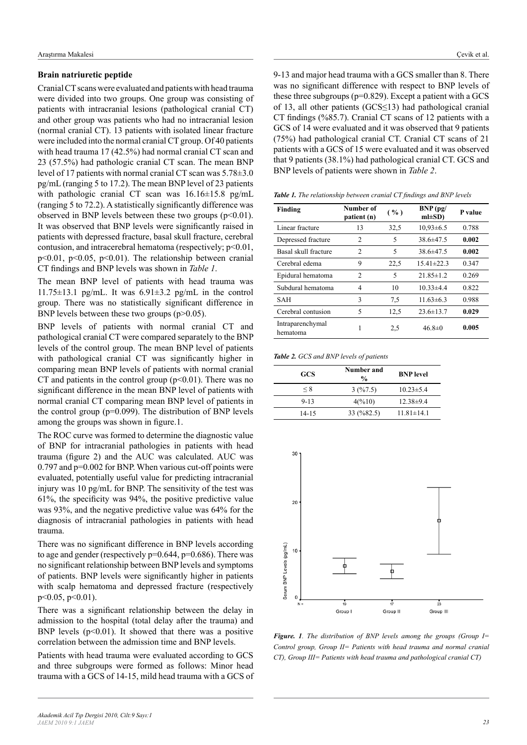#### **Brain natriuretic peptide**

Cranial CT scans were evaluated and patients with head trauma were divided into two groups. One group was consisting of patients with intracranial lesions (pathological cranial CT) and other group was patients who had no intracranial lesion (normal cranial CT). 13 patients with isolated linear fracture were included into the normal cranial CT group. Of 40 patients with head trauma 17 (42.5%) had normal cranial CT scan and 23 (57.5%) had pathologic cranial CT scan. The mean BNP level of 17 patients with normal cranial CT scan was 5.78±3.0 pg/mL (ranging 5 to 17.2). The mean BNP level of 23 patients with pathologic cranial CT scan was  $16.16\pm15.8$  pg/mL (ranging 5 to 72.2). A statistically significantly difference was observed in BNP levels between these two groups  $(p<0.01)$ . It was observed that BNP levels were significantly raised in patients with depressed fracture, basal skull fracture, cerebral contusion, and intracerebral hematoma (respectively;  $p<0.01$ , p<0.01, p<0.05, p<0.01). The relationship between cranial CT findings and BNP levels was shown in *Table 1*.

The mean BNP level of patients with head trauma was 11.75 $\pm$ 13.1 pg/mL. It was 6.91 $\pm$ 3.2 pg/mL in the control group. There was no statistically significant difference in BNP levels between these two groups (p>0.05).

BNP levels of patients with normal cranial CT and pathological cranial CT were compared separately to the BNP levels of the control group. The mean BNP level of patients with pathological cranial CT was significantly higher in comparing mean BNP levels of patients with normal cranial CT and patients in the control group  $(p<0.01)$ . There was no significant difference in the mean BNP level of patients with normal cranial CT comparing mean BNP level of patients in the control group (p=0.099). The distribution of BNP levels among the groups was shown in figure.1.

The ROC curve was formed to determine the diagnostic value of BNP for intracranial pathologies in patients with head trauma (figure 2) and the AUC was calculated. AUC was 0.797 and p=0.002 for BNP. When various cut-off points were evaluated, potentially useful value for predicting intracranial injury was 10 pg/mL for BNP. The sensitivity of the test was 61%, the specificity was 94%, the positive predictive value was 93%, and the negative predictive value was 64% for the diagnosis of intracranial pathologies in patients with head trauma.

There was no significant difference in BNP levels according to age and gender (respectively p=0.644, p=0.686). There was no significant relationship between BNP levels and symptoms of patients. BNP levels were significantly higher in patients with scalp hematoma and depressed fracture (respectively p<0.05, p<0.01).

There was a significant relationship between the delay in admission to the hospital (total delay after the trauma) and BNP levels  $(p<0.01)$ . It showed that there was a positive correlation between the admission time and BNP levels.

Patients with head trauma were evaluated according to GCS and three subgroups were formed as follows: Minor head trauma with a GCS of 14-15, mild head trauma with a GCS of 9-13 and major head trauma with a GCS smaller than 8. There was no significant difference with respect to BNP levels of these three subgroups (p=0.829). Except a patient with a GCS of 13, all other patients (GCS≤13) had pathological cranial CT findings (%85.7). Cranial CT scans of 12 patients with a GCS of 14 were evaluated and it was observed that 9 patients (75%) had pathological cranial CT. Cranial CT scans of 21 patients with a GCS of 15 were evaluated and it was observed that 9 patients (38.1%) had pathological cranial CT. GCS and BNP levels of patients were shown in *Table 2*.

*Table 1. The relationship between cranial CT findings and BNP levels* 

| Finding                      | Number of<br>patient (n) | ( %) | $BNP$ (pg/<br>$ml\pm SD$ | P value |
|------------------------------|--------------------------|------|--------------------------|---------|
| Linear fracture              | 13                       | 32,5 | $10,93\pm 6.5$           | 0.788   |
| Depressed fracture           | 2                        | 5    | $38.6\pm47.5$            | 0.002   |
| Basal skull fracture         | $\mathfrak{D}$           | 5    | $38.6\pm47.5$            | 0.002   |
| Cerebral edema               | 9                        | 22,5 | $15.41 \pm 22.3$         | 0.347   |
| Epidural hematoma            | 2                        | 5    | $21.85 \pm 1.2$          | 0.269   |
| Subdural hematoma            | 4                        | 10   | $10.33 \pm 4.4$          | 0.822   |
| SAH                          | 3                        | 7,5  | $11.63\pm 6.3$           | 0.988   |
| Cerebral contusion           | 5                        | 12,5 | $23.6 \pm 13.7$          | 0.029   |
| Intraparenchymal<br>hematoma | 1                        | 2,5  | $46.8 \pm 0$             | 0.005   |

#### *Table 2. GCS and BNP levels of patients*

| <b>GCS</b> | Number and<br>$\frac{0}{0}$        | <b>BNP</b> level |  |
|------------|------------------------------------|------------------|--|
| $\leq 8$   | 3(%7.5)                            | $10.23 \pm 5.4$  |  |
| $9 - 13$   | 4(%10)                             | $12.38\pm9.4$    |  |
| 14-15      | $33 \left( \frac{9}{82.5} \right)$ | $11.81 \pm 14.1$ |  |



*Figure. 1. The distribution of BNP levels among the groups (Group I= Control group, Group II= Patients with head trauma and normal cranial CT), Group III= Patients with head trauma and pathological cranial CT)*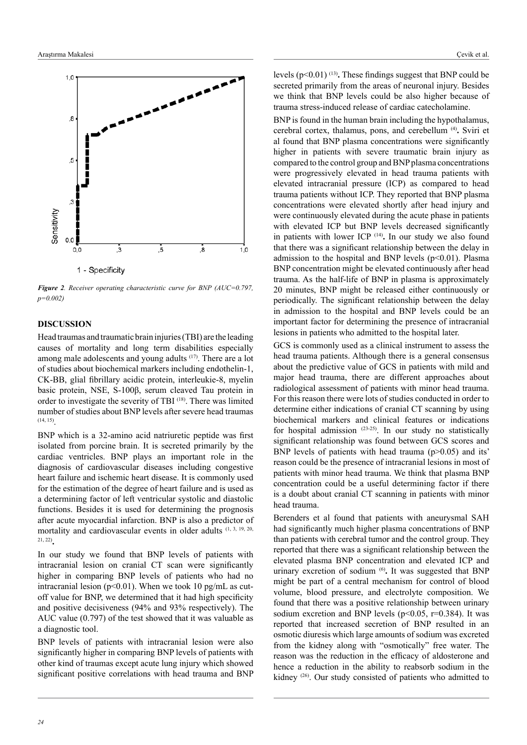

*Figure 2. Receiver operating characteristic curve for BNP (AUC=0.797, p=0.002)*

#### **DISCUSSION**

Head traumas and traumatic brain injuries (TBI) are the leading causes of mortality and long term disabilities especially among male adolescents and young adults (17). There are a lot of studies about biochemical markers including endothelin-1, CK-BB, glial fibrillary acidic protein, interleukie-8, myelin basic protein, NSE, S-100β, serum cleaved Tau protein in order to investigate the severity of TBI (18). There was limited number of studies about BNP levels after severe head traumas (14, 15).

BNP which is a 32-amino acid natriuretic peptide was first isolated from porcine brain. It is secreted primarily by the cardiac ventricles. BNP plays an important role in the diagnosis of cardiovascular diseases including congestive heart failure and ischemic heart disease. It is commonly used for the estimation of the degree of heart failure and is used as a determining factor of left ventricular systolic and diastolic functions. Besides it is used for determining the prognosis after acute myocardial infarction. BNP is also a predictor of mortality and cardiovascular events in older adults (1, 3, 19, 20, 21, 22)**.**

In our study we found that BNP levels of patients with intracranial lesion on cranial CT scan were significantly higher in comparing BNP levels of patients who had no intracranial lesion ( $p \le 0.01$ ). When we took 10 pg/mL as cutoff value for BNP, we determined that it had high specificity and positive decisiveness (94% and 93% respectively). The AUC value (0.797) of the test showed that it was valuable as a diagnostic tool.

BNP levels of patients with intracranial lesion were also significantly higher in comparing BNP levels of patients with other kind of traumas except acute lung injury which showed significant positive correlations with head trauma and BNP levels (p<0.01) (13)**.** These findings suggest that BNP could be secreted primarily from the areas of neuronal injury. Besides we think that BNP levels could be also higher because of trauma stress-induced release of cardiac catecholamine.

BNP is found in the human brain including the hypothalamus, cerebral cortex, thalamus, pons, and cerebellum (4)**.** Sviri et al found that BNP plasma concentrations were significantly higher in patients with severe traumatic brain injury as compared to the control group and BNP plasma concentrations were progressively elevated in head trauma patients with elevated intracranial pressure (ICP) as compared to head trauma patients without ICP. They reported that BNP plasma concentrations were elevated shortly after head injury and were continuously elevated during the acute phase in patients with elevated ICP but BNP levels decreased significantly in patients with lower ICP (14)**.** In our study we also found that there was a significant relationship between the delay in admission to the hospital and BNP levels  $(p<0.01)$ . Plasma BNP concentration might be elevated continuously after head trauma. As the half-life of BNP in plasma is approximately 20 minutes, BNP might be released either continuously or periodically. The significant relationship between the delay in admission to the hospital and BNP levels could be an important factor for determining the presence of intracranial lesions in patients who admitted to the hospital later.

GCS is commonly used as a clinical instrument to assess the head trauma patients. Although there is a general consensus about the predictive value of GCS in patients with mild and major head trauma, there are different approaches about radiological assessment of patients with minor head trauma. For this reason there were lots of studies conducted in order to determine either indications of cranial CT scanning by using biochemical markers and clinical features or indications for hospital admission (23-25). In our study no statistically significant relationship was found between GCS scores and BNP levels of patients with head trauma (p>0.05) and its' reason could be the presence of intracranial lesions in most of patients with minor head trauma. We think that plasma BNP concentration could be a useful determining factor if there is a doubt about cranial CT scanning in patients with minor head trauma.

Berenders et al found that patients with aneurysmal SAH had significantly much higher plasma concentrations of BNP than patients with cerebral tumor and the control group. They reported that there was a significant relationship between the elevated plasma BNP concentration and elevated ICP and urinary excretion of sodium (6)**.** It was suggested that BNP might be part of a central mechanism for control of blood volume, blood pressure, and electrolyte composition. We found that there was a positive relationship between urinary sodium excretion and BNP levels ( $p<0.05$ ,  $r=0.384$ ). It was reported that increased secretion of BNP resulted in an osmotic diuresis which large amounts of sodium was excreted from the kidney along with "osmotically" free water. The reason was the reduction in the efficacy of aldosterone and hence a reduction in the ability to reabsorb sodium in the kidney (26). Our study consisted of patients who admitted to